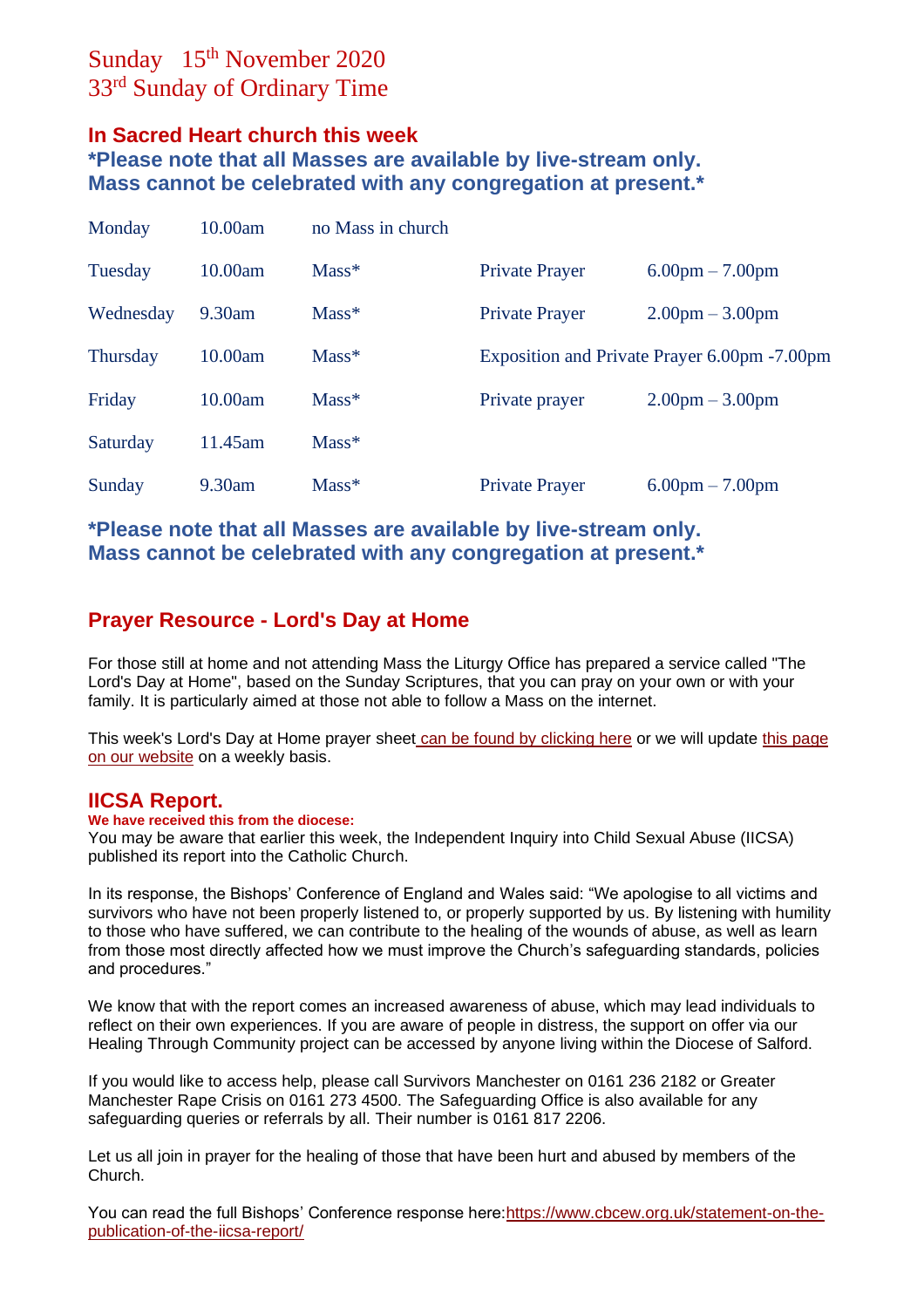# Sunday 15<sup>th</sup> November 2020 33<sup>rd</sup> Sunday of Ordinary Time

## **In Sacred Heart church this week**

**\*Please note that all Masses are available by live-stream only. Mass cannot be celebrated with any congregation at present.\***

| Monday          | 10.00am | no Mass in church |                                               |                                   |
|-----------------|---------|-------------------|-----------------------------------------------|-----------------------------------|
| Tuesday         | 10.00am | $Mass*$           | <b>Private Prayer</b>                         | $6.00 \text{pm} - 7.00 \text{pm}$ |
| Wednesday       | 9.30am  | $Mass*$           | <b>Private Prayer</b>                         | $2.00 \text{pm} - 3.00 \text{pm}$ |
| <b>Thursday</b> | 10.00am | $Mass*$           | Exposition and Private Prayer 6.00pm - 7.00pm |                                   |
| Friday          | 10.00am | $Mass*$           | Private prayer                                | $2.00 \text{pm} - 3.00 \text{pm}$ |
| Saturday        | 11.45am | $Mass*$           |                                               |                                   |
| Sunday          | 9.30am  | $Mass*$           | <b>Private Prayer</b>                         | $6.00 \text{pm} - 7.00 \text{pm}$ |

**\*Please note that all Masses are available by live-stream only. Mass cannot be celebrated with any congregation at present.\***

## **Prayer Resource - Lord's Day at Home**

For those still at home and not attending Mass the Liturgy Office has prepared a service called "The Lord's Day at Home", based on the Sunday Scriptures, that you can pray on your own or with your family. It is particularly aimed at those not able to follow a Mass on the internet.

This week's Lord's Day at Home prayer sheet [can be found by clicking here](https://dioceseofsalford.us6.list-manage.com/track/click?u=76e219dab8653b775ba8aac4c&id=f34dbde68a&e=5ce69633f0) or we will update this page [on our website](https://dioceseofsalford.us6.list-manage.com/track/click?u=76e219dab8653b775ba8aac4c&id=eeefa5721b&e=5ce69633f0) on a weekly basis.

### **IICSA Report.**

#### **We have received this from the diocese:**

You may be aware that earlier this week, the Independent Inquiry into Child Sexual Abuse (IICSA) published its report into the Catholic Church.

In its response, the Bishops' Conference of England and Wales said: "We apologise to all victims and survivors who have not been properly listened to, or properly supported by us. By listening with humility to those who have suffered, we can contribute to the healing of the wounds of abuse, as well as learn from those most directly affected how we must improve the Church's safeguarding standards, policies and procedures."

We know that with the report comes an increased awareness of abuse, which may lead individuals to reflect on their own experiences. If you are aware of people in distress, the support on offer via our Healing Through Community project can be accessed by anyone living within the Diocese of Salford.

If you would like to access help, please call Survivors Manchester on 0161 236 2182 or Greater Manchester Rape Crisis on 0161 273 4500. The Safeguarding Office is also available for any safeguarding queries or referrals by all. Their number is 0161 817 2206.

Let us all join in prayer for the healing of those that have been hurt and abused by members of the Church.

You can read the full Bishops' Conference response here: https://www.cbcew.org.uk/statement-on-the[publication-of-the-iicsa-report/](https://dioceseofsalford.us6.list-manage.com/track/click?u=76e219dab8653b775ba8aac4c&id=054047c726&e=5ce69633f0)